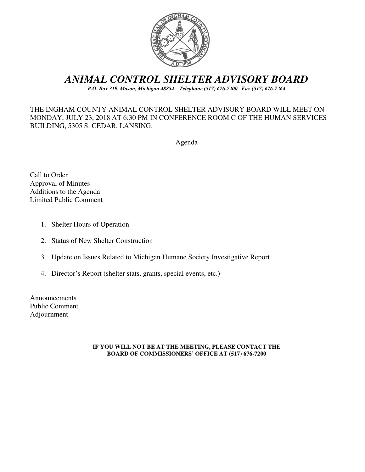

# *ANIMAL CONTROL SHELTER ADVISORY BOARD*

*P.O. Box 319. Mason, Michigan 48854 Telephone (517) 676-7200 Fax (517) 676-7264*

## THE INGHAM COUNTY ANIMAL CONTROL SHELTER ADVISORY BOARD WILL MEET ON MONDAY, JULY 23, 2018 AT 6:30 PM IN CONFERENCE ROOM C OF THE HUMAN SERVICES BUILDING, 5305 S. CEDAR, LANSING.

Agenda

Call to Order Approval of Minutes Additions to the Agenda Limited Public Comment

- 1. Shelter Hours of Operation
- 2. Status of New Shelter Construction
- 3. Update on Issues Related to Michigan Humane Society Investigative Report
- 4. Director's Report (shelter stats, grants, special events, etc.)

Announcements Public Comment Adjournment

#### **IF YOU WILL NOT BE AT THE MEETING, PLEASE CONTACT THE BOARD OF COMMISSIONERS' OFFICE AT (517) 676-7200**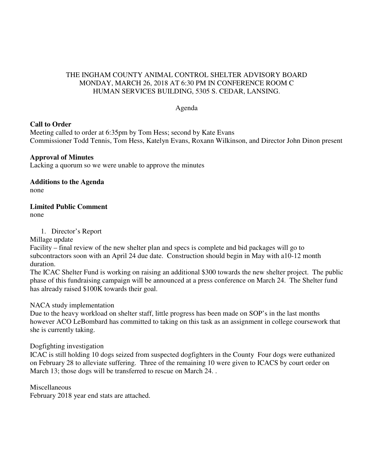## THE INGHAM COUNTY ANIMAL CONTROL SHELTER ADVISORY BOARD MONDAY, MARCH 26, 2018 AT 6:30 PM IN CONFERENCE ROOM C HUMAN SERVICES BUILDING, 5305 S. CEDAR, LANSING.

#### Agenda

## **Call to Order**

Meeting called to order at 6:35pm by Tom Hess; second by Kate Evans Commissioner Todd Tennis, Tom Hess, Katelyn Evans, Roxann Wilkinson, and Director John Dinon present

## **Approval of Minutes**

Lacking a quorum so we were unable to approve the minutes

**Additions to the Agenda**  none

## **Limited Public Comment**

none

1. Director's Report

Millage update

Facility – final review of the new shelter plan and specs is complete and bid packages will go to subcontractors soon with an April 24 due date. Construction should begin in May with a10-12 month duration.

The ICAC Shelter Fund is working on raising an additional \$300 towards the new shelter project. The public phase of this fundraising campaign will be announced at a press conference on March 24. The Shelter fund has already raised \$100K towards their goal.

NACA study implementation

Due to the heavy workload on shelter staff, little progress has been made on SOP's in the last months however ACO LeBombard has committed to taking on this task as an assignment in college coursework that she is currently taking.

## Dogfighting investigation

ICAC is still holding 10 dogs seized from suspected dogfighters in the County Four dogs were euthanized on February 28 to alleviate suffering. Three of the remaining 10 were given to ICACS by court order on March 13; those dogs will be transferred to rescue on March 24. .

Miscellaneous

February 2018 year end stats are attached.